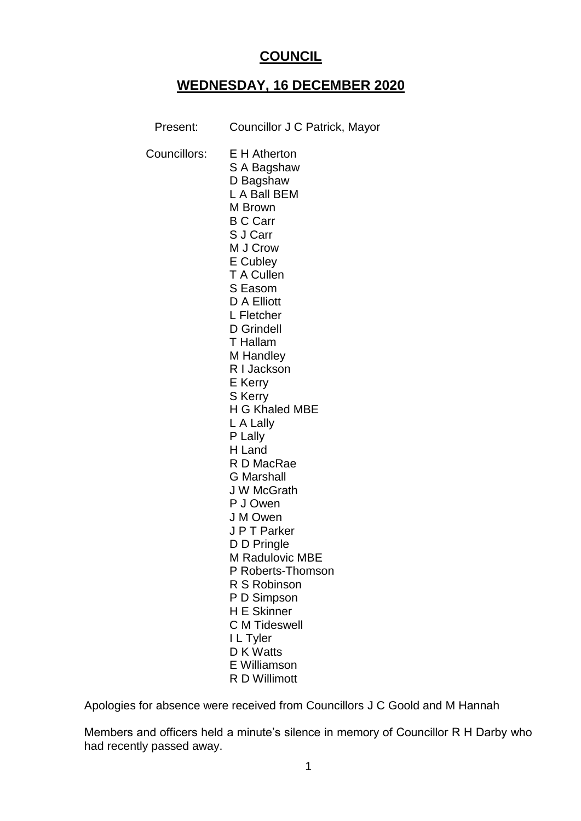# **COUNCIL**

# **WEDNESDAY, 16 DECEMBER 2020**

| Present:     | Councillor J C Patrick, Mayor                                                                                                                                                                                                                                                                                                                                                                                                                                                                |
|--------------|----------------------------------------------------------------------------------------------------------------------------------------------------------------------------------------------------------------------------------------------------------------------------------------------------------------------------------------------------------------------------------------------------------------------------------------------------------------------------------------------|
| Councillors: | <b>E</b> H Atherton<br>S A Bagshaw<br>D Bagshaw<br>L A Ball BEM<br>M Brown<br><b>B C Carr</b><br>S J Carr<br>M J Crow<br>E Cubley<br>T A Cullen<br>S Easom<br>D A Elliott<br>L Fletcher<br>D Grindell<br>T Hallam<br>M Handley<br>R I Jackson<br>E Kerry<br><b>S</b> Kerry<br>H G Khaled MBE<br>L A Lally<br>P Lally<br>H Land<br>R D MacRae<br><b>G</b> Marshall<br><b>JW</b> McGrath<br>P J Owen<br>J M Owen<br>J P T Parker<br>D D Pringle<br><b>M Radulovic MBE</b><br>P Roberts-Thomson |
|              |                                                                                                                                                                                                                                                                                                                                                                                                                                                                                              |
|              | R S Robinson<br>P D Simpson                                                                                                                                                                                                                                                                                                                                                                                                                                                                  |
|              | <b>H E Skinner</b><br><b>C</b> M Tideswell<br>I L Tyler<br>D K Watts                                                                                                                                                                                                                                                                                                                                                                                                                         |
|              | E Williamson<br>R D Willimott                                                                                                                                                                                                                                                                                                                                                                                                                                                                |

Apologies for absence were received from Councillors J C Goold and M Hannah

Members and officers held a minute's silence in memory of Councillor R H Darby who had recently passed away.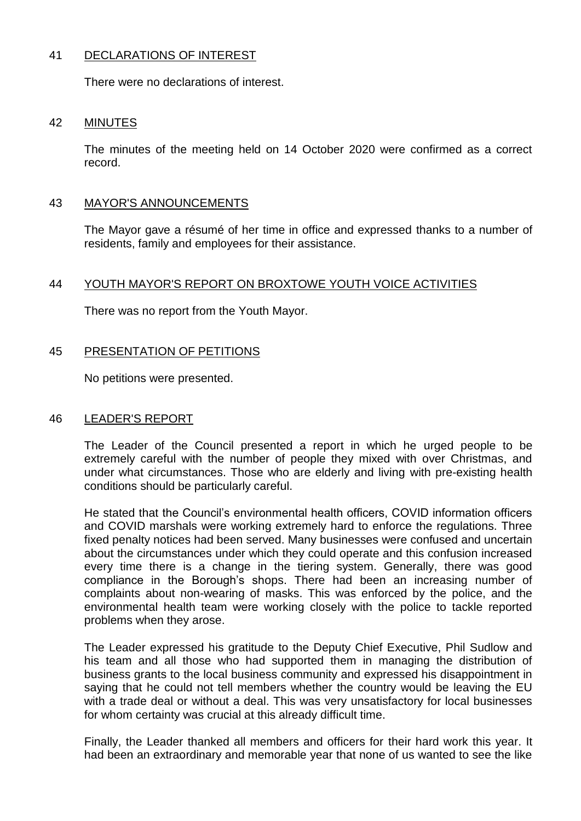## 41 DECLARATIONS OF INTEREST

There were no declarations of interest.

#### 42 MINUTES

The minutes of the meeting held on 14 October 2020 were confirmed as a correct record.

#### 43 MAYOR'S ANNOUNCEMENTS

The Mayor gave a résumé of her time in office and expressed thanks to a number of residents, family and employees for their assistance.

#### 44 YOUTH MAYOR'S REPORT ON BROXTOWE YOUTH VOICE ACTIVITIES

There was no report from the Youth Mayor.

#### 45 PRESENTATION OF PETITIONS

No petitions were presented.

#### 46 LEADER'S REPORT

The Leader of the Council presented a report in which he urged people to be extremely careful with the number of people they mixed with over Christmas, and under what circumstances. Those who are elderly and living with pre-existing health conditions should be particularly careful.

He stated that the Council's environmental health officers, COVID information officers and COVID marshals were working extremely hard to enforce the regulations. Three fixed penalty notices had been served. Many businesses were confused and uncertain about the circumstances under which they could operate and this confusion increased every time there is a change in the tiering system. Generally, there was good compliance in the Borough's shops. There had been an increasing number of complaints about non-wearing of masks. This was enforced by the police, and the environmental health team were working closely with the police to tackle reported problems when they arose.

The Leader expressed his gratitude to the Deputy Chief Executive, Phil Sudlow and his team and all those who had supported them in managing the distribution of business grants to the local business community and expressed his disappointment in saying that he could not tell members whether the country would be leaving the EU with a trade deal or without a deal. This was very unsatisfactory for local businesses for whom certainty was crucial at this already difficult time.

Finally, the Leader thanked all members and officers for their hard work this year. It had been an extraordinary and memorable year that none of us wanted to see the like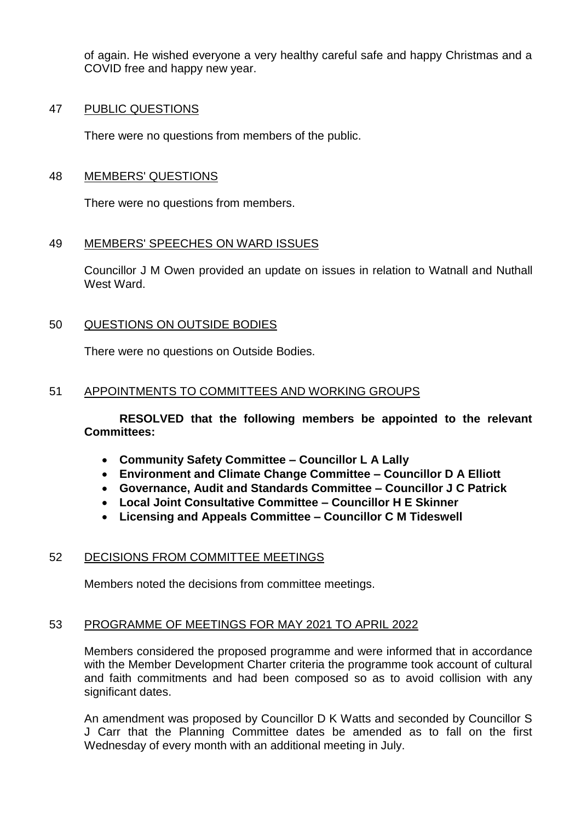of again. He wished everyone a very healthy careful safe and happy Christmas and a COVID free and happy new year.

#### 47 PUBLIC QUESTIONS

There were no questions from members of the public.

## 48 MEMBERS' QUESTIONS

There were no questions from members.

## 49 MEMBERS' SPEECHES ON WARD ISSUES

Councillor J M Owen provided an update on issues in relation to Watnall and Nuthall West Ward.

## 50 QUESTIONS ON OUTSIDE BODIES

There were no questions on Outside Bodies.

## 51 APPOINTMENTS TO COMMITTEES AND WORKING GROUPS

**RESOLVED that the following members be appointed to the relevant Committees:**

- **Community Safety Committee – Councillor L A Lally**
- **Environment and Climate Change Committee – Councillor D A Elliott**
- **Governance, Audit and Standards Committee – Councillor J C Patrick**
- **Local Joint Consultative Committee – Councillor H E Skinner**
- **Licensing and Appeals Committee – Councillor C M Tideswell**

#### 52 DECISIONS FROM COMMITTEE MEETINGS

Members noted the decisions from committee meetings.

## 53 PROGRAMME OF MEETINGS FOR MAY 2021 TO APRIL 2022

Members considered the proposed programme and were informed that in accordance with the Member Development Charter criteria the programme took account of cultural and faith commitments and had been composed so as to avoid collision with any significant dates.

An amendment was proposed by Councillor D K Watts and seconded by Councillor S J Carr that the Planning Committee dates be amended as to fall on the first Wednesday of every month with an additional meeting in July.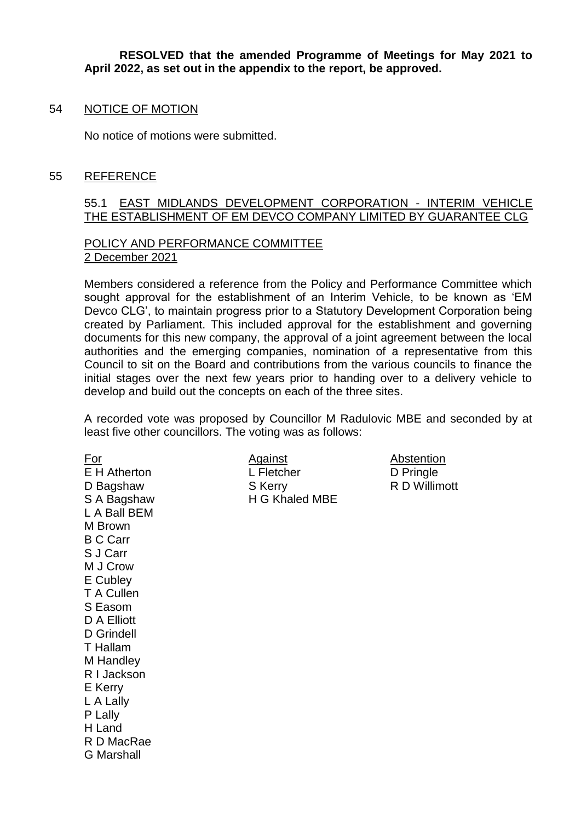**RESOLVED that the amended Programme of Meetings for May 2021 to April 2022, as set out in the appendix to the report, be approved.**

#### 54 NOTICE OF MOTION

No notice of motions were submitted.

#### 55 REFERENCE

#### 55.1 EAST MIDLANDS DEVELOPMENT CORPORATION - INTERIM VEHICLE THE ESTABLISHMENT OF EM DEVCO COMPANY LIMITED BY GUARANTEE CLG

#### POLICY AND PERFORMANCE COMMITTEE 2 December 2021

Members considered a reference from the Policy and Performance Committee which sought approval for the establishment of an Interim Vehicle, to be known as 'EM Devco CLG', to maintain progress prior to a Statutory Development Corporation being created by Parliament. This included approval for the establishment and governing documents for this new company, the approval of a joint agreement between the local authorities and the emerging companies, nomination of a representative from this Council to sit on the Board and contributions from the various councils to finance the initial stages over the next few years prior to handing over to a delivery vehicle to develop and build out the concepts on each of the three sites.

A recorded vote was proposed by Councillor M Radulovic MBE and seconded by at least five other councillors. The voting was as follows:

L A Ball BEM M Brown B C Carr S J Carr M J Crow E Cubley T A Cullen S Easom D A Elliott D Grindell T Hallam M Handley R I Jackson E Kerry L A Lally P Lally H Land R D MacRae G Marshall

For Against Abstention E H Atherton L Fletcher L Fletcher D Pringle D Bagshaw S Kerry R D Willimott S A Bagshaw H G Khaled MBE